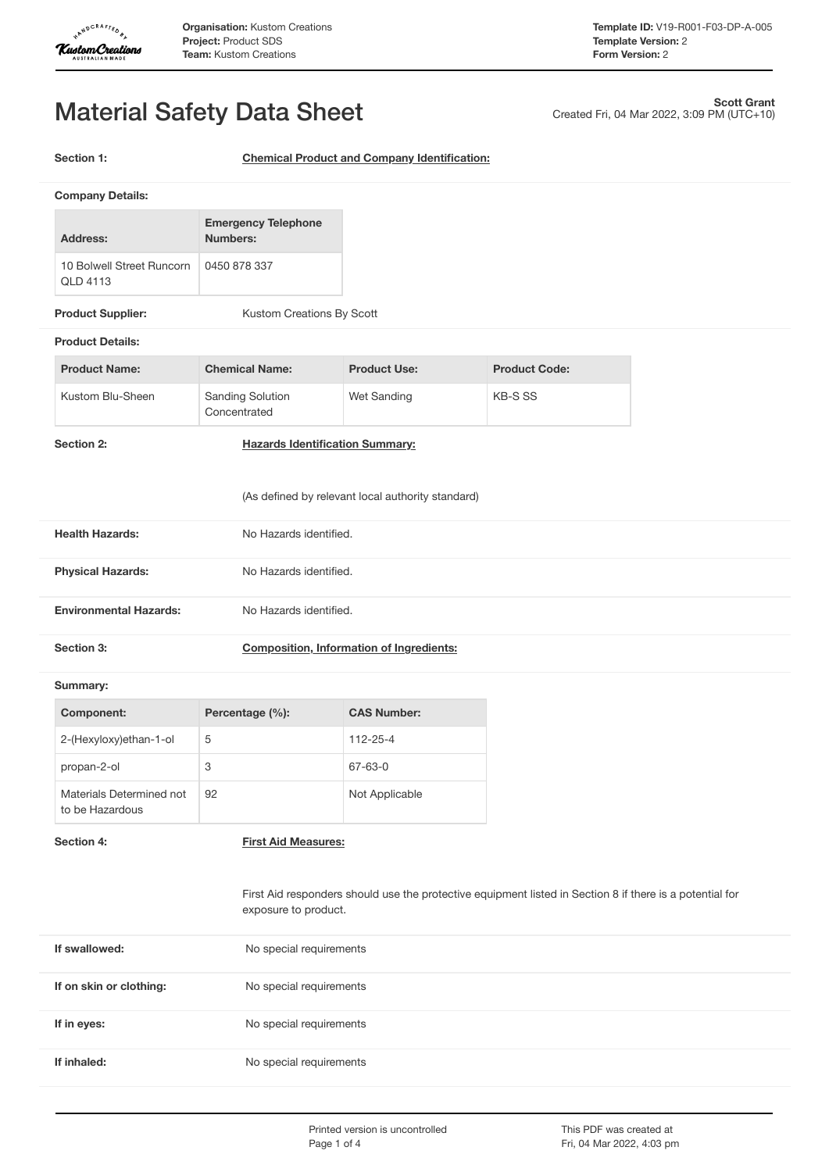

Created Fri, 04 Mar 2022, 3:09 PM (UTC+10)

**Scott Grant**

# Material Safety Data Sheet

**Section 1: Chemical Product and Company Identification:**

| Address:                                     | <b>Emergency Telephone</b><br>Numbers: |
|----------------------------------------------|----------------------------------------|
| 10 Bolwell Street Runcorn<br><b>OLD 4113</b> | 0450 878 337                           |

**Product Supplier:** Kustom Creations By Scott

# **Product Details:**

| <b>Product Name:</b> | <b>Chemical Name:</b>                   | <b>Product Use:</b> | <b>Product Code:</b> |
|----------------------|-----------------------------------------|---------------------|----------------------|
| Kustom Blu-Sheen     | <b>Sanding Solution</b><br>Concentrated | Wet Sanding         | KB-S SS              |

**Section 2: Hazards Identification Summary:**

# (As defined by relevant local authority standard)

| <b>Health Hazards:</b>        | No Hazards identified. |
|-------------------------------|------------------------|
| <b>Physical Hazards:</b>      | No Hazards identified. |
| <b>Environmental Hazards:</b> | No Hazards identified. |

| Section 3: | <b>Composition, Information of Ingredients:</b> |
|------------|-------------------------------------------------|
|------------|-------------------------------------------------|

### **Summary:**

| Component:                                  | Percentage (%): | <b>CAS Number:</b> |
|---------------------------------------------|-----------------|--------------------|
| 2-(Hexyloxy)ethan-1-ol                      | 5               | $112 - 25 - 4$     |
| propan-2-ol                                 | 3               | 67-63-0            |
| Materials Determined not<br>to be Hazardous | 92              | Not Applicable     |

**Section 4: First Aid Measures:**

First Aid responders should use the protective equipment listed in Section 8 if there is a potential for exposure to product.

| If swallowed:           | No special requirements |
|-------------------------|-------------------------|
| If on skin or clothing: | No special requirements |
| If in eyes:             | No special requirements |
| If inhaled:             | No special requirements |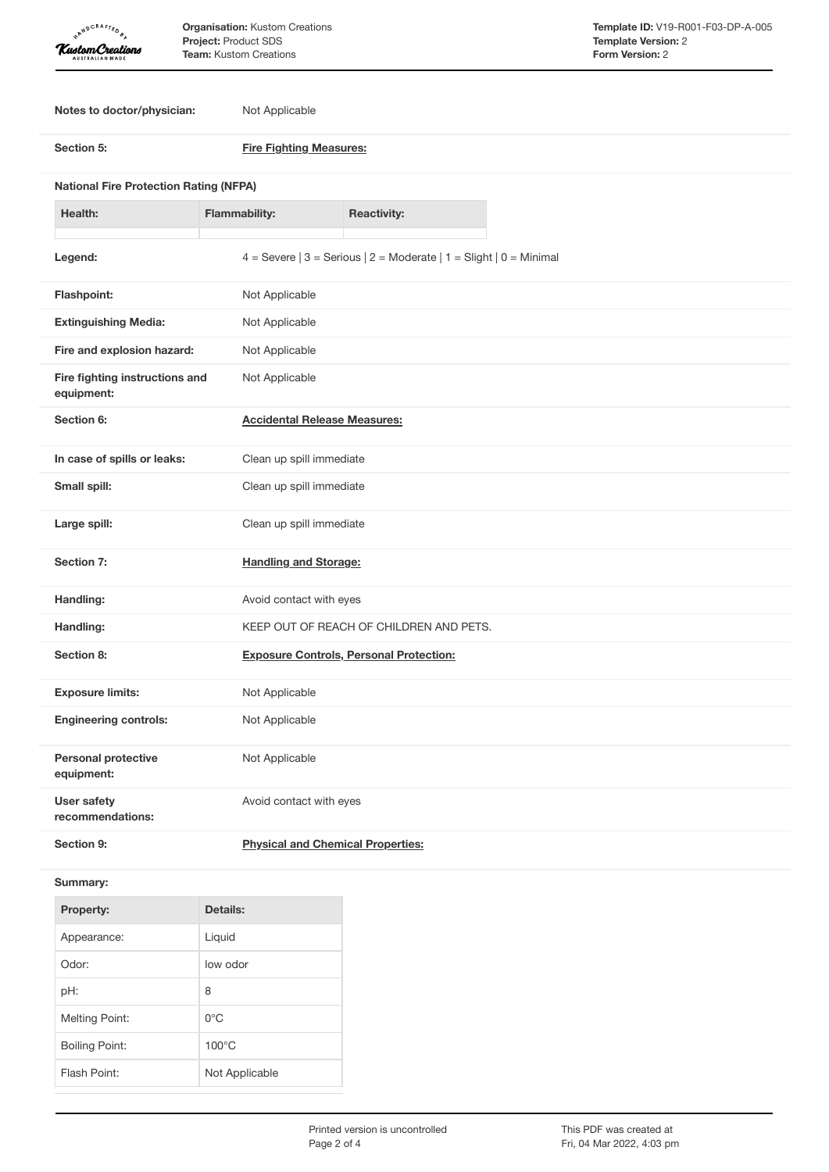| <b>APNDCRAFTED</b> |                                                   |
|--------------------|---------------------------------------------------|
|                    | <b>Kustom Creations</b><br><b>AUSTRALIAN MADE</b> |

**Notes to doctor/physician:** Not Applicable

| Notes to doctor/physician:                    | <b>NOT Applicable</b>               |                                                                        |  |
|-----------------------------------------------|-------------------------------------|------------------------------------------------------------------------|--|
| Section 5:                                    |                                     | <b>Fire Fighting Measures:</b>                                         |  |
| <b>National Fire Protection Rating (NFPA)</b> |                                     |                                                                        |  |
| Health:                                       | <b>Flammability:</b>                | <b>Reactivity:</b>                                                     |  |
| Legend:                                       |                                     | 4 = Severe $ 3$ = Serious $ 2$ = Moderate $ 1$ = Slight $ 0$ = Minimal |  |
| Flashpoint:                                   | Not Applicable                      |                                                                        |  |
| <b>Extinguishing Media:</b>                   | Not Applicable                      |                                                                        |  |
| Fire and explosion hazard:                    | Not Applicable                      |                                                                        |  |
| Fire fighting instructions and<br>equipment:  | Not Applicable                      |                                                                        |  |
| Section 6:                                    | <b>Accidental Release Measures:</b> |                                                                        |  |
| In case of spills or leaks:                   | Clean up spill immediate            |                                                                        |  |
| Small spill:                                  | Clean up spill immediate            |                                                                        |  |
| Large spill:                                  | Clean up spill immediate            |                                                                        |  |
| Section 7:                                    | <b>Handling and Storage:</b>        |                                                                        |  |
| Handling:                                     | Avoid contact with eyes             |                                                                        |  |
| Handling:                                     |                                     | KEEP OUT OF REACH OF CHILDREN AND PETS.                                |  |
| Section 8:                                    |                                     | <b>Exposure Controls, Personal Protection:</b>                         |  |
| <b>Exposure limits:</b>                       | Not Applicable                      |                                                                        |  |

| <b>Exposure limits:</b>                  | Not Applicable          |
|------------------------------------------|-------------------------|
| <b>Engineering controls:</b>             | Not Applicable          |
| <b>Personal protective</b><br>equipment: | Not Applicable          |
| User safety<br>recommendations:          | Avoid contact with eyes |

**Section 9: Physical and Chemical Properties:**

# **Summary:**

| <b>Property:</b>      | Details:        |
|-----------------------|-----------------|
| Appearance:           | Liquid          |
| Odor:                 | low odor        |
| pH:                   | 8               |
| <b>Melting Point:</b> | ∩°C             |
| <b>Boiling Point:</b> | $100^{\circ}$ C |
| Flash Point:          | Not Applicable  |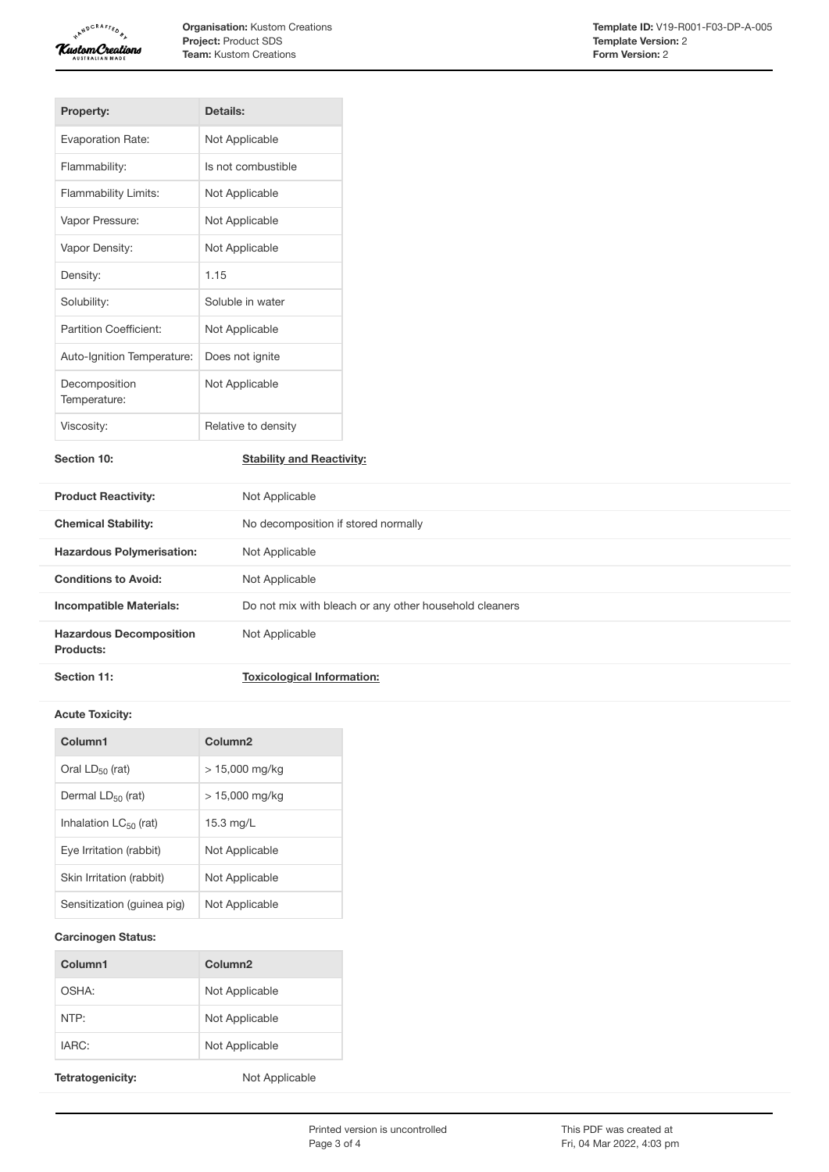

| <b>Property:</b>              | Details:            |
|-------------------------------|---------------------|
| <b>Evaporation Rate:</b>      | Not Applicable      |
| Flammability:                 | Is not combustible  |
| Flammability Limits:          | Not Applicable      |
| Vapor Pressure:               | Not Applicable      |
| Vapor Density:                | Not Applicable      |
| Density:                      | 1.15                |
| Solubility:                   | Soluble in water    |
| Partition Coefficient:        | Not Applicable      |
| Auto-Ignition Temperature:    | Does not ignite     |
| Decomposition<br>Temperature: | Not Applicable      |
| Viscosity:                    | Relative to density |

**Section 10: Stability and Reactivity:**

| <b>Product Reactivity:</b>                  | Not Applicable                                         |
|---------------------------------------------|--------------------------------------------------------|
| <b>Chemical Stability:</b>                  | No decomposition if stored normally                    |
| <b>Hazardous Polymerisation:</b>            | Not Applicable                                         |
| <b>Conditions to Avoid:</b>                 | Not Applicable                                         |
| <b>Incompatible Materials:</b>              | Do not mix with bleach or any other household cleaners |
| <b>Hazardous Decomposition</b><br>Products: | Not Applicable                                         |
| Section 11:                                 | <b>Toxicological Information:</b>                      |

## **Acute Toxicity:**

| Column1                    | Column <sub>2</sub> |
|----------------------------|---------------------|
| Oral $LD_{50}$ (rat)       | $> 15,000$ mg/kg    |
| Dermal $LD_{50}$ (rat)     | > 15.000 ma/ka      |
| Inhalation $LC_{50}$ (rat) | $15.3 \text{ mg/L}$ |
| Eye Irritation (rabbit)    | Not Applicable      |
| Skin Irritation (rabbit)   | Not Applicable      |
| Sensitization (guinea pig) | Not Applicable      |

# **Carcinogen Status:**

| Column1 | Column <sub>2</sub> |
|---------|---------------------|
| OSHA:   | Not Applicable      |
| NTP:    | Not Applicable      |
| IARC:   | Not Applicable      |

Tetratogenicity: Not Applicable